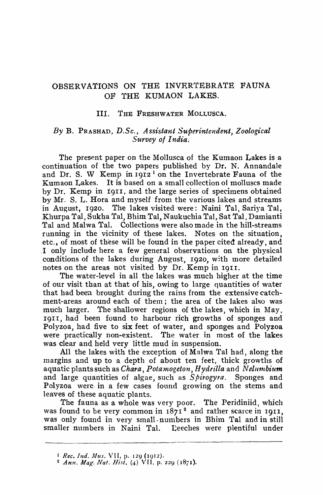# OBSERVATIONS ON THE INVERTEBRATE FAUNA OF THE KUMAON LAKES.

### III. THE FRESHWATER MOLLUSCA.

### *By* B. PRASHAD, *D.Se., Assistant Superintendent, Zoological Survey 01 India.*

The present paper on the Mollusca of the Kumaon Lakes is a continuation of the two papers published by Dr. N. Annandale and Dr. S. W Kemp in 1912<sup>1</sup> on the Invertebrate Fauna of the Kumaon Lakes. It is based on a small collection of molluscs made by Dr. Kemp in 1911, and the large series of specimens obtained by Mr. S. L. Hora and myself from the various lakes and streams in August, 1920. The lakes visited were: Naini Tal, Sariya Tal, Khurpa Tal, Sukha Tal, Bhim Tal, Naukuchia Tal, Sat Tal, Damianti Tal and Malwa Tal. Collections were also made in the hill-streams running in the vicinity of these lakes. Notes on the situation, etc., of most of these will be found in the paper cited already, and I only include here a few general observations on the physical conditions of the lakes during August, I920, with more detailed notes on the areas not visited by Dr. Kemp in 191I.

The water-level in all the lakes was much higher at the time of our visit than at that of his, owing to large quantities of water that had been brought during the rains from the extensive catchment-areas around each of them; the area of the lakes also was much larger. The shallower regions of the lakes, which in  $\text{May},$ IgII, had been found to harbour rich growths of sponges and Polyzoa, had five to six feet of water, and sponges and Polyzoa were practically non-existent. The water in most of the lakes was clear and held very little mud in suspension.

All the lakes with the exception of Malwa Tal had, along the margins and up to a depth of about ten feet, thick growths of aquatic plants such as *Chara, Potamogeton, Hydrilla* and *Nelurnbium*  and large quantities of algae, such as *Spirogyra*. Sponges and Polyzoa were, in a few cases found growing on the stems and leaves of these aquatic plants.

The fauna as a whole was very poor. The Peridiniid, which was found to be very common in  $187<sup>12</sup>$  and rather scarce in 1911, was only found in very small-numbers in Bhim Tal and in still smaller numbers in Naini Tal. Leeches were plentiful under

<sup>&</sup>lt;sup>1</sup> Rec. *Ind. Mus.* VII, p. 129 (1912).

<sup>&</sup>lt;sup>2</sup> Ann. Mag. Nat. Hist. (4) VII, p. 229 (1871).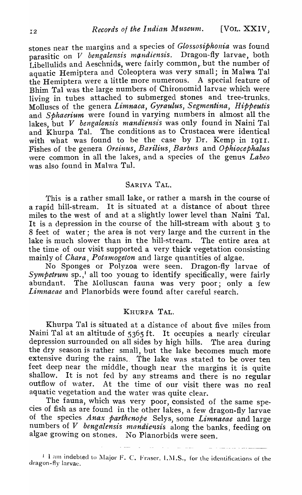stones near the margins and a species of *Glossosiphonia* was found parasitic on *V bengalensis mandiensis*. Dragon-fly larvae, both Libellulids and Aeschnids, were fairly common, but the number of aquatic Hemiptera and Coleoptera was very small; in Malwa Tal the Hemiptera were a little more numerous. A special feature of Bhim Tal was the large numbers of Chironomid larvae which were living in tubes attached to submerged stones and tree-trunks. Molluscs of the genera *Limnaea, Gyraulus, Segmentina, Hippeutis*  and *Sphaerium* were found in varying numbers in almost all the lakes, but *V bengalensis mandiensis* was only found in Naini Tal and Khurpa Tal. The conditions as to Crustacea were identical with what was found to be the case by Dr. Kemp in 191I. Fishes of the genera *Oreinus, Barilius, Barbus* and *Ophiocephalus* \vere common in all the lakes, and a species of the genu,; *Labeo*  was also found in Malwa Tal.

### SARIYA TAL.

This is a rather small lake, or rather a marsh in the course of a rapid hill-stream. It is situated at a distance of about three miles to the west of and at a slightly lower level than Naini Tal. It is a depression in the course of the hill-stream with about 3 to 8 feet of water; the area is not very large and the current in the lake is much slower than in the hill-stream. The entire area at lake is much slower than in the hill-stream. the time of our visit supported a very thick vegetation consisting mainly of *Chara, Potamogeton* and large quantities of algae.

No Sponges or Polyzoa were seen. Dragon-fly larvae of *Sympetrum* sp., all too young to identify specifically, were fairly abundant. The Molluscan fauna was very poor; only a few *Limnaeae* and Planorbids were found after careful search.

# KHURPA TAL.

Khurpa Tal is situated at a distance of about five miles from Naini Tal at an altitude of 5365 ft. It occupies a nearly circular depression surrounded on all sides by high hills. The area during the dry season is rather small, but the lake becomes much more extensive during the rains. The lake was stated to be over ten feet deep near the middle, though near the margins it is quite shallow. It is not fed by any streams and there is no regular outflow of water. At the time of our visit there was no real aquatic vegetation and the water was quite clear.

The fauna, which was very poor, consisted of the same species of fish as are found in the other lakes, a few dragon-fly larvae of the species Anax parthenope Selys, some Limnaeae and large numbers of *V bengalensis mandiensis* along the banks, feeding on algae growing on stones. No Planorbids were seen.

 $1$  I am indebted to Major F. C. Fraser, LM.S., for the identifications of the dragon-Ay larvae.

<sup>~</sup>- .-----.. -.~-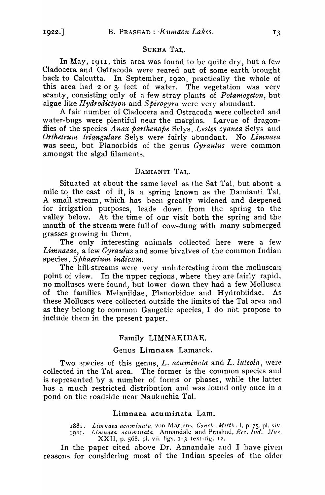### SUKBA TAL.

In May, 1911, this area was found to be quite dry, but a few Cladocera and Ostracoda were reared out of some earth brought back to Calcutta. In September, 1920, practically the whole of this area had 2 or 3 feet of water. The vegetation was very scanty, consisting only of a few stray plants of *Potamogeton,* but algae like *Hydrodictyon* and *Spirogyra* were very abundant.

A fair number of Cladocera and Ostracoda were collected and water-bugs were plentiful near the margins. Larvae of dragonflies of the species *Anax parthenope* Selys, *Lestes cyanea* Selys and *Orthetrum triangulare* Selys were fairly abundant. No Limnaea was seen, but Planorbids of the genus *Gyraulus* were common amongst the algal filaments.

### DAMIANTI TAL.

Situated at about the same level as the Sat Tal, but about a mile to the east of it, is a spring known as the Damianti Tal. A small stream, which has been greatly widened and deepened for irrigation purposes, leads down from the spring to the valley below. At the time of our visit both the spring and the mouth of the stream were full of cow-dung with many submerged grasses growing in them.

The only interesting animals collected here were a few Limnaeae, a few *Gyraulus* and some bivalves of the common Indian species, *Sphaerium indicum*.

The hill-streams were very uninteresting from the molluscan point of view. In the upper regions, where they are fairly rapid, no molluscs were found, but lower down they had a few Mollusca of the families Melaniidae, Planorbidae and Hydrobiidae. As these Molluscs \vere collected outside the limits of the Tal area and as they belong to common Gaugetic species, I do not propose to include them in the present paper.

#### Family LIMNAEIDAE.

#### Genus Limnaea Lamarck.

Two species of this genus, *L. acuminata* and *L. luteola*, were collected in the Tal area. The former is the common species and is represented by a number of forms or phases, while the latter has a much restricted distribution and was found only once in a pond on the roadside near Naukuchia Tal.

#### Limnaea acuminata Lam.

1881. 192 I. Limnaea acuminata, von Martens, *Conch. Mitth.* 1, p. 75, pl. xiv. *Limnaea* acumil1ata! Annandale and Prashad, *Rec. Iud. J/us.*  XXII, p. 568. pl. vii, figs. 1-3, text-fig. 12.

In the paper cited above Dr. Annandale and I have given reasons for considering most of the Indian species of the older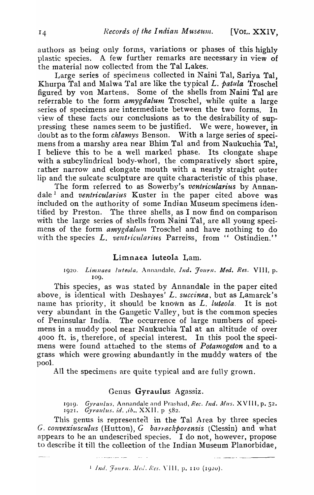[VOL. XXIV.

authors as being only forms, variations or phases of this highly plastic species. A few further remarks are necessary in view of the material now collected from the Tal Lakes.

Large series of specimens collected in Naini Tal, Sariya Tal. Khurpa Tal and Malwa Tal are like the typical *L. patula* Troschel figured by von Martens. Some of the shells from Naini Tal are referrable to the form *amygdalum* Troschel, while quite a large series of specimens are intermediate between the two forms. In view of these facts our conclusions as to the desirability of suppressing these names seem to be justified. We were, however, in doubt as to the form *chlamys* Benson. With a large series of specimens from a marshy area near Bhim Tal and from Naukuchia Tal. I believe this to be a well marked phase. Its elongate shape with a subcylindrical body-whorl, the comparatively short spire. rather narrow and elongate mouth with a nearly straight outer lip and the sulcate sculpture are quite characteristic of this phase.

The form referred to as Sowerby's *ventricularius* by Annandale <sup>1</sup> and *ventricularius* Kuster in the paper cited above was included on the authority of some Indian Museum specimens identified by Preston. The three shells, as I now find on comparison with the large series of shells from Naini Tal, are all young specimens of the form *amygdalum* Troschel and have nothing to do with the species *L. ventricularius* Parreiss, from " Ostindien."

### Limnaea luteola Lam.

#### 1920. *Limnaea luteola*, Annandale, *Ind. Journ. Med. Res. VIII*, p. log.

This species, as was stated by Annandale in the paper cited above, is identical with Deshayes' *L. succinea*, but as Lamarck's name has priority, it should be known as *L. luteola*. It is not very abundant in the Gangetic Valley, but is the common species of Peninsular India. The occurrence of large numbers of specimens in a muddy pool near Naukuchia Tal at an altitude of over 4000 ft. is, therefore, of special interest. In this pool the specimens were found attached to the stems of *Potamogeton* and to a grass which were growing abundantly in the muddy waters of the pool.

All the specimens are quite typical and are fully grown.

# Genus Gyraulus Agassiz.

1919. *Gyraulus*, Annandale and Prashad, *Rec. Ind. Mus.* XVIII, p. 52. 1921. Gyraulus. id., ib., XXII, p 582.

This genus is represented in the Tal Area by three species *G. convexiusculus* (Hutton), *G. barrackporensis* (Clessin) and what appears to be an undescribed species. I do not, however, propose to describe it till the collection of the Indian Museum Planorbidae, - ---<br>----<del>--</del>---<del>---------</del>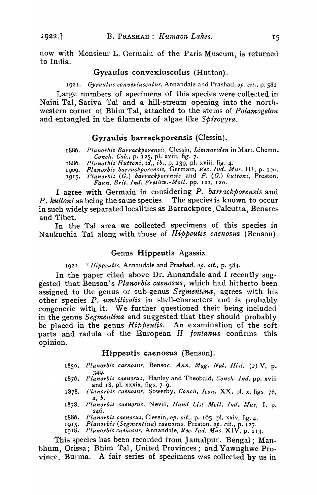now with Monsieur L. Germain of the Paris Museum, is returned to India.

# Gyraulus convexiusculus (Hutton).

1921. *Gyraulus convexiusculus*, Annandale and Prashad, *op. cit.*, p. 582

Large numbers of specimens of this species were collected in Naini Tal, Sariya Tal and a hill-stream opening into the nortb. western corner of Bhim Tal, attached to the stems of *Potamogeton* and entangled in the filaments of algae like *Spirogyra.* 

## Gyraulus barrackporensis (Clessin).

|        | 1886. Planorbis Barrackporensis, Clessin, Limnaeiden in Mart. Chemn. |
|--------|----------------------------------------------------------------------|
|        | Conch. Cab., p. 125, pl. xviii, fig. 7.                              |
| $-006$ | $D$ l executive Huttoni id it n 120 pl vyiji fig. 4                  |

- *1886. Planorbis'Huttoni, id,., ib.,* p. 139, pI. xviii, fig. 4.
- 1909. Planorbis barrackporensis, Germain, *Rec. Ind. Mus.* III, p. 120. 1915. Planorbis (G.) barrackporensis and P. (G.) huttoni, Preston, *Faun. Brit. indo Freshw.-Moll.* pp. 121, 120.

I agree with Germain in considering *P. barrackporensis* and *P*. *huttoni* as being the same species. The species is known to occur in such widely separated localities as Barrackpore, Calcutta, Benares and Tibet.

In the Tal area we collected specimens of this species in Naukuchia Tal along with those of *Hippeutis caenosus* (Benson).

# Genus Hippeutis Agassiz.

1921. ? *Hippeutis*, Annandale and Prashad, *op. cit.*, p. 584.

In the paper cited above Dr. Annandale and I recently suggested that Benson's *Planorbis caenosus*, which had hitherto been assigned to the genus or sub-genus *Segmentina*, agrees with his other species *P. umbilicalis* in shell-characters and is probably congeneric with it. We further questioned their being included in the genus *Segmentina* and suggested that they should probably be placed in the genus *Hippeutis.* An examination of the soft parts and radula of the European *H fontanus* confirms this opinion.

### Hippeutis caenosus (Benson).

- *1850. Planorbis caenosus,* Benson, *Ann. Mag. Nat. Hist.* (2) V, p. 349·
- 1876. Planorbis caenosus, Hanley and Theobald, *Conch. Ind.* pp. xviii and 18, pI. XXXIX, figs. 7-9.
- *1878. Planorbis caenosus,* Sowerby, *Conch, Icon.* XX, pI. x, figs. 78, *a, b.*
- *1878. Planorbis caenosus,* Nevill, *Hand List Moll. Ind. Mus,* I, p. 246. *1886. Planorbis caenosus,* Clessin, *op. cit.,* p. 165, pI. xxiv, fig. 4.
- 
- 1915. *Planorbis (Segmentina) caenosus*, Preston, *op. cit.*, p. 127.
- 1918. *Planorbis caenosus*, Annandale, Rec. *Ind. Mus.* XIV, p. 113.

This species has been recorded from Jamalpur, Bengal; Manbhum, Orissa; Bhim Tal, United Provinces; and Yawnghwe Province. Burma. A fair series of specimens was collected by us in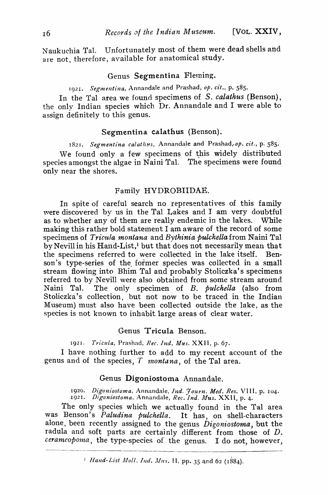Naukuchia Tal. Unfortunately most of them were dead shells and are not, therefore, available for anatomical study.

# Genus Segmentina Fleming.

1921. Segmentina, Annandale and Prashad, op. cit., p. 585.

In the Tal area we found specimens of S. *calathus* (Benson), the only Indian species which Dr. Annandale and I were able to assign definitely to this genus.

# Segmentina calathus (Benson).

1821. Segmentina calathus, Annandale and Prashad, op. cit., p. 585. We found only a few specimens of this widely distributed species amongst the algae in Naini Tal. The specimens were found only near the shores.

### Family HYDROBIIDAE.

In spite of careful search no representatives of this family were discovered by us in the Tal Lakes and I am very doubtful as to whether any of them are really endemic in the lakes. While making this rather bold statement I am aware of the record of some specimens of *Tricula montana* and *Bythinia pulchella* from Naini Tal by Nevill in his Hand-List,<sup>1</sup> but that does not necessarily mean that the specimens referred to were collected in the lake itself. Benson's type-series of the former species was collected in a small stream flowing into Bhim Tal and probably Stoliczka's specimens referred to by Nevill were also obtained from some stream around Naini Tal. The only specimen of B. *pulchella* (also from Stoliczka's collection, but not now to be traced in the Indian Museum) must also have been collected outside the lake, as the species is not known to inhabit. large areas of clear water.

### Genus Tricula Benson.

19*<sup>2</sup> 1. Tricula,* Prashad, *Rec. Ind. Mus.* XXII, p. 67.

I have nothing further to add to my recent account of the genus and of the species,  $T$  *montana*, of the Tal area.

### Genus Digoniostoma Annandale.

1920. Digoniostoma, Annandale, *Ind. Journ. Med. Res.* VIII, p. 104. 192 *1. Digon£ostoma,* Annandale, *Rec. Ind. A/us.* XXII, p. 4.

The only species which we actually found in the Tal area was Benson's *Paludina pulchella.* It has, on shell-characters alone, been recently assigned to the genus *Digoniostoma,* but the radula and soft parts are certainly different from those of D. cerameopoma, the type-species of the genus. I do not, however,

<sup>&</sup>lt;sup>1</sup> Hand-List Moll. Ind. Mus. II, pp. 35 and 62 (1884).